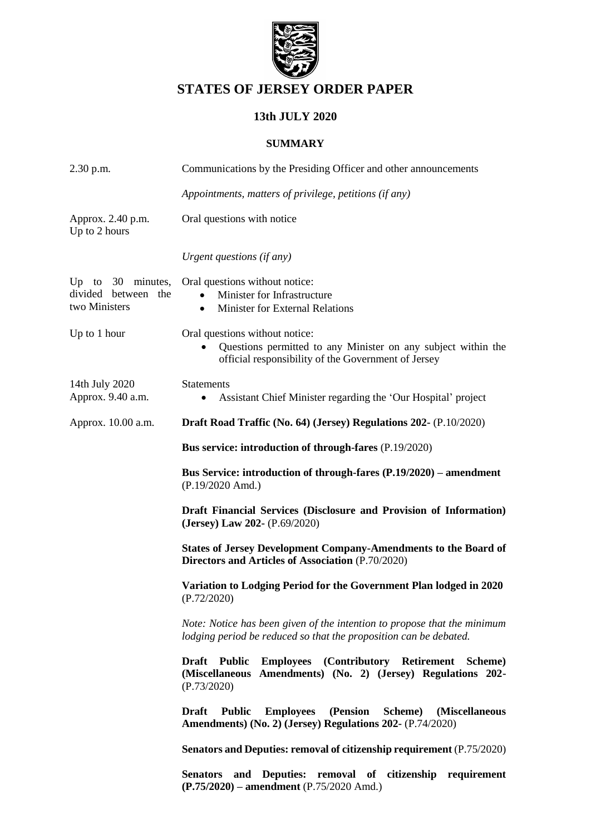

# **STATES OF JERSEY ORDER PAPER**

# **13th JULY 2020**

#### **SUMMARY**

| 2.30 p.m.                                                 | Communications by the Presiding Officer and other announcements                                                                                         |  |  |
|-----------------------------------------------------------|---------------------------------------------------------------------------------------------------------------------------------------------------------|--|--|
|                                                           | Appointments, matters of privilege, petitions (if any)                                                                                                  |  |  |
| Approx. 2.40 p.m.<br>Up to 2 hours                        | Oral questions with notice                                                                                                                              |  |  |
|                                                           | Urgent questions (if any)                                                                                                                               |  |  |
| Up to 30 minutes,<br>divided between the<br>two Ministers | Oral questions without notice:<br>Minister for Infrastructure<br>$\bullet$<br>Minister for External Relations<br>$\bullet$                              |  |  |
| Up to 1 hour                                              | Oral questions without notice:<br>Questions permitted to any Minister on any subject within the<br>official responsibility of the Government of Jersey  |  |  |
| 14th July 2020<br>Approx. 9.40 a.m.                       | <b>Statements</b><br>Assistant Chief Minister regarding the 'Our Hospital' project<br>$\bullet$                                                         |  |  |
| Approx. 10.00 a.m.                                        | Draft Road Traffic (No. 64) (Jersey) Regulations 202- (P.10/2020)                                                                                       |  |  |
|                                                           | Bus service: introduction of through-fares (P.19/2020)                                                                                                  |  |  |
|                                                           | Bus Service: introduction of through-fares (P.19/2020) – amendment<br>$(P.19/2020$ Amd.)                                                                |  |  |
|                                                           | Draft Financial Services (Disclosure and Provision of Information)<br>(Jersey) Law 202- (P.69/2020)                                                     |  |  |
|                                                           | <b>States of Jersey Development Company-Amendments to the Board of</b><br>Directors and Articles of Association (P.70/2020)                             |  |  |
|                                                           | Variation to Lodging Period for the Government Plan lodged in 2020<br>(P.72/2020)                                                                       |  |  |
|                                                           | Note: Notice has been given of the intention to propose that the minimum<br>lodging period be reduced so that the proposition can be debated.           |  |  |
|                                                           | <b>Employees (Contributory Retirement Scheme)</b><br>Draft Public<br>(Miscellaneous Amendments) (No. 2) (Jersey) Regulations 202-<br>(P.73/2020)        |  |  |
|                                                           | <b>Public</b><br>(Pension<br>Scheme)<br>(Miscellaneous<br><b>Draft</b><br><b>Employees</b><br>Amendments) (No. 2) (Jersey) Regulations 202- (P.74/2020) |  |  |
|                                                           | <b>Senators and Deputies: removal of citizenship requirement (P.75/2020)</b>                                                                            |  |  |
|                                                           | Senators and Deputies: removal of citizenship requirement<br>(P.75/2020) – amendment (P.75/2020 Amd.)                                                   |  |  |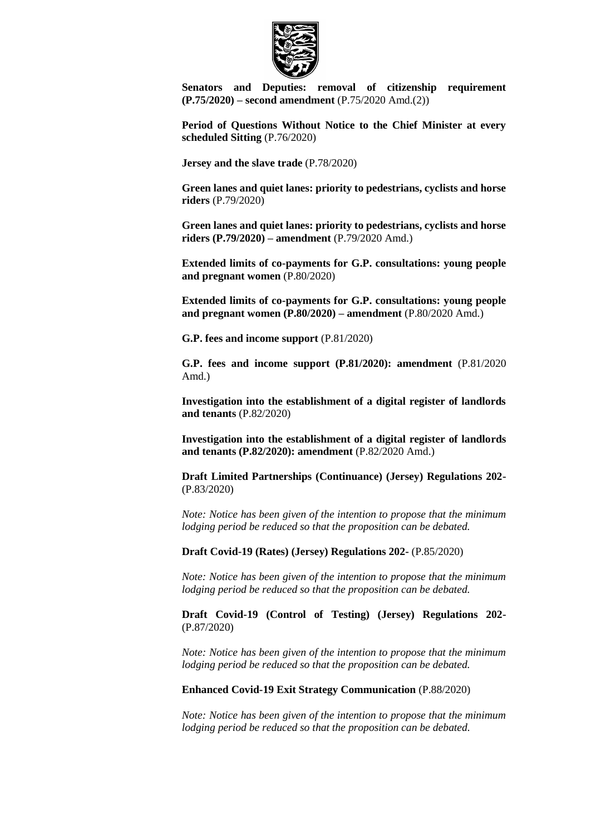

**[Senators and Deputies: removal of citizenship requirement](https://statesassembly.gov.je/AssemblyPropositions/2020/P.75-2020Amd(2).pdf)  (P.75/2020) – [second amendment](https://statesassembly.gov.je/AssemblyPropositions/2020/P.75-2020Amd(2).pdf)** (P.75/2020 Amd.(2))

**[Period of Questions Without Notice to the Chief Minister at every](https://statesassembly.gov.je/AssemblyPropositions/2020/P.76-2020.pdf)  [scheduled Sitting](https://statesassembly.gov.je/AssemblyPropositions/2020/P.76-2020.pdf)** (P.76/2020)

**[Jersey and the slave trade](https://statesassembly.gov.je/AssemblyPropositions/2020/P.78-2020.pdf)** (P.78/2020)

**[Green lanes and quiet lanes: priority to pedestrians, cyclists and horse](https://statesassembly.gov.je/AssemblyPropositions/2020/P.79-2020.pdf)  riders** [\(P.79/2020\)](https://statesassembly.gov.je/AssemblyPropositions/2020/P.79-2020.pdf)

**[Green lanes and quiet lanes: priority to pedestrians, cyclists and horse](https://statesassembly.gov.je/AssemblyPropositions/2020/P.79-2020Amd.pdf)  [riders \(P.79/2020\) –](https://statesassembly.gov.je/AssemblyPropositions/2020/P.79-2020Amd.pdf) amendment** (P.79/2020 Amd.)

**[Extended limits of co-payments for G.P. consultations: young people](https://statesassembly.gov.je/AssemblyPropositions/2020/P.80-2020.pdf)  [and pregnant women](https://statesassembly.gov.je/AssemblyPropositions/2020/P.80-2020.pdf)** (P.80/2020)

**[Extended limits of co-payments for G.P. consultations: young people](https://statesassembly.gov.je/AssemblyPropositions/2020/P.80-2020Amd.pdf)  [and pregnant women \(P.80/2020\) –](https://statesassembly.gov.je/AssemblyPropositions/2020/P.80-2020Amd.pdf) amendment** (P.80/2020 Amd.)

**[G.P. fees and income support](https://statesassembly.gov.je/AssemblyPropositions/2020/P.81-2020.pdf)** (P.81/2020)

**[G.P. fees and income support \(P.81/2020\): amendment](https://statesassembly.gov.je/AssemblyPropositions/2020/P.81-2020Amd.pdf)** (P.81/2020 [Amd.\)](https://statesassembly.gov.je/AssemblyPropositions/2020/P.81-2020Amd.pdf)

**[Investigation into the establishment of a digital register of landlords](https://statesassembly.gov.je/AssemblyPropositions/2020/P.82-2020.pdf)  [and tenants](https://statesassembly.gov.je/AssemblyPropositions/2020/P.82-2020.pdf)** (P.82/2020)

**[Investigation into the establishment of a digital register of landlords](https://statesassembly.gov.je/AssemblyPropositions/2020/P.82-2020Amd.pdf)  [and tenants \(P.82/2020\): amendment](https://statesassembly.gov.je/AssemblyPropositions/2020/P.82-2020Amd.pdf)** (P.82/2020 Amd.)

**[Draft Limited Partnerships \(Continuance\) \(Jersey\) Regulations 202-](https://statesassembly.gov.je/AssemblyPropositions/2020/P.83-2020.pdf)** [\(P.83/2020\)](https://statesassembly.gov.je/AssemblyPropositions/2020/P.83-2020.pdf)

*Note: Notice has been given of the intention to propose that the minimum lodging period be reduced so that the proposition can be debated.*

**[Draft Covid-19 \(Rates\) \(Jersey\) Regulations 202-](https://statesassembly.gov.je/AssemblyPropositions/2020/P.85-2020.pdf)** (P.85/2020)

*Note: Notice has been given of the intention to propose that the minimum lodging period be reduced so that the proposition can be debated.*

**[Draft Covid-19 \(Control of Testing\) \(Jersey\) Regulations 202-](https://statesassembly.gov.je/AssemblyPropositions/2020/P.87-2020.pdf)** [\(P.87/2020\)](https://statesassembly.gov.je/AssemblyPropositions/2020/P.87-2020.pdf)

*Note: Notice has been given of the intention to propose that the minimum lodging period be reduced so that the proposition can be debated.*

**[Enhanced Covid-19 Exit Strategy Communication](https://statesassembly.gov.je/AssemblyPropositions/2020/P.88-2020.pdf)** (P.88/2020)

*Note: Notice has been given of the intention to propose that the minimum lodging period be reduced so that the proposition can be debated.*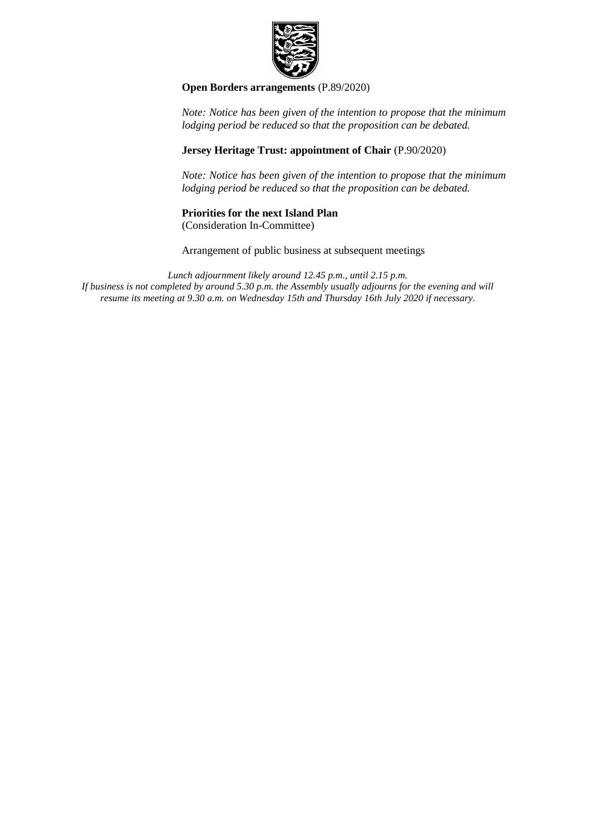

**[Open Borders arrangements](https://statesassembly.gov.je/AssemblyPropositions/2020/P.89-2020.pdf)** (P.89/2020)

*Note: Notice has been given of the intention to propose that the minimum lodging period be reduced so that the proposition can be debated.*

#### **Jersey Heritage Trust: appointment of Chair** (P.90/2020)

*Note: Notice has been given of the intention to propose that the minimum lodging period be reduced so that the proposition can be debated.*

#### **Priorities for the next Island Plan**

(Consideration In-Committee)

Arrangement of public business at subsequent meetings

*Lunch adjournment likely around 12.45 p.m., until 2.15 p.m. If business is not completed by around 5.30 p.m. the Assembly usually adjourns for the evening and will resume its meeting at 9.30 a.m. on Wednesday 15th and Thursday 16th July 2020 if necessary.*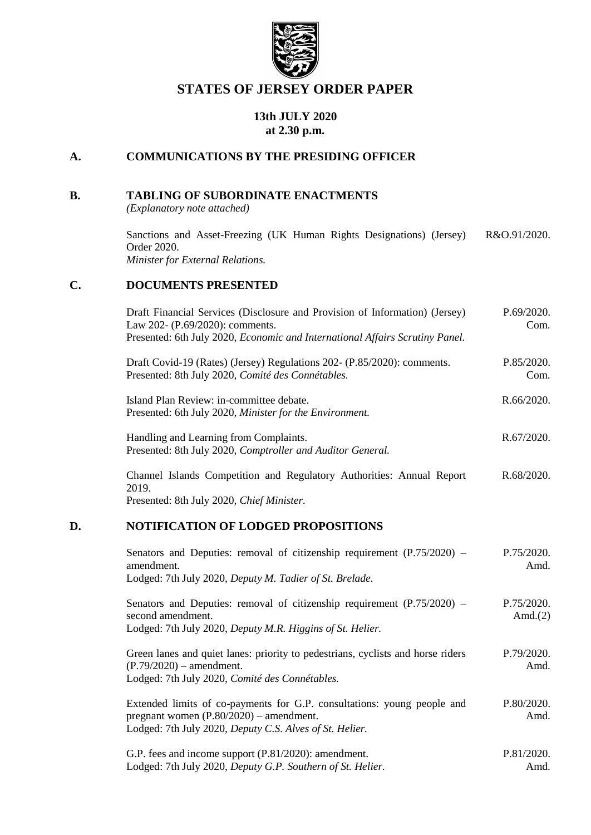

# **STATES OF JERSEY ORDER PAPER**

### **13th JULY 2020 at 2.30 p.m.**

### **A. COMMUNICATIONS BY THE PRESIDING OFFICER**

#### **B. TABLING OF SUBORDINATE ENACTMENTS**

*(Explanatory note attached)*

[Sanctions and Asset-Freezing \(UK Human Rights Designations\) \(Jersey\)](https://www.jerseylaw.je/laws/enacted/Pages/RO-091-2020.aspx)  [R&O.91/2020.](https://www.jerseylaw.je/laws/enacted/Pages/RO-091-2020.aspx) [Order 2020.](https://www.jerseylaw.je/laws/enacted/Pages/RO-091-2020.aspx) *[Minister for External Relations.](https://www.jerseylaw.je/laws/enacted/Pages/RO-091-2020.aspx)*

#### **C. DOCUMENTS PRESENTED**

| Draft Financial Services (Disclosure and Provision of Information) (Jersey)<br>Law 202- (P.69/2020): comments. | P.69/2020.<br>Com. |
|----------------------------------------------------------------------------------------------------------------|--------------------|
| Presented: 6th July 2020, <i>Economic and International Affairs Scrutiny Panel.</i>                            |                    |
| Draft Covid-19 (Rates) (Jersey) Regulations 202- (P.85/2020): comments.                                        | P.85/2020.         |
| Presented: 8th July 2020, Comité des Connétables.                                                              | Com.               |
| Island Plan Review: in-committee debate.                                                                       | R.66/2020.         |
| Presented: 6th July 2020, Minister for the Environment.                                                        |                    |
| Handling and Learning from Complaints.                                                                         | R.67/2020.         |
| Presented: 8th July 2020, Comptroller and Auditor General.                                                     |                    |
| Channel Islands Competition and Regulatory Authorities: Annual Report                                          | R.68/2020.         |
| 2019.                                                                                                          |                    |
| Presented: 8th July 2020, Chief Minister.                                                                      |                    |

#### **D. NOTIFICATION OF LODGED PROPOSITIONS**

| Senators and Deputies: removal of citizenship requirement $(P.75/2020)$ –<br>amendment.<br>Lodged: 7th July 2020, Deputy M. Tadier of St. Brelade.                              | P.75/2020.<br>Amd.       |  |
|---------------------------------------------------------------------------------------------------------------------------------------------------------------------------------|--------------------------|--|
| Senators and Deputies: removal of citizenship requirement $(P.75/2020)$ –<br>second amendment.<br>Lodged: 7th July 2020, Deputy M.R. Higgins of St. Helier.                     | P.75/2020.<br>Amd. $(2)$ |  |
| Green lanes and quiet lanes: priority to pedestrians, cyclists and horse riders<br>$(P.79/2020)$ – amendment.<br>Lodged: 7th July 2020, Comité des Connétables.                 | P.79/2020.<br>Amd.       |  |
| Extended limits of co-payments for G.P. consultations: young people and<br>pregnant women $(P.80/2020)$ – amendment.<br>Lodged: 7th July 2020, Deputy C.S. Alves of St. Helier. | P.80/2020.<br>Amd.       |  |
| G.P. fees and income support (P.81/2020): amendment.<br>Lodged: 7th July 2020, Deputy G.P. Southern of St. Helier.                                                              | P.81/2020.<br>Amd.       |  |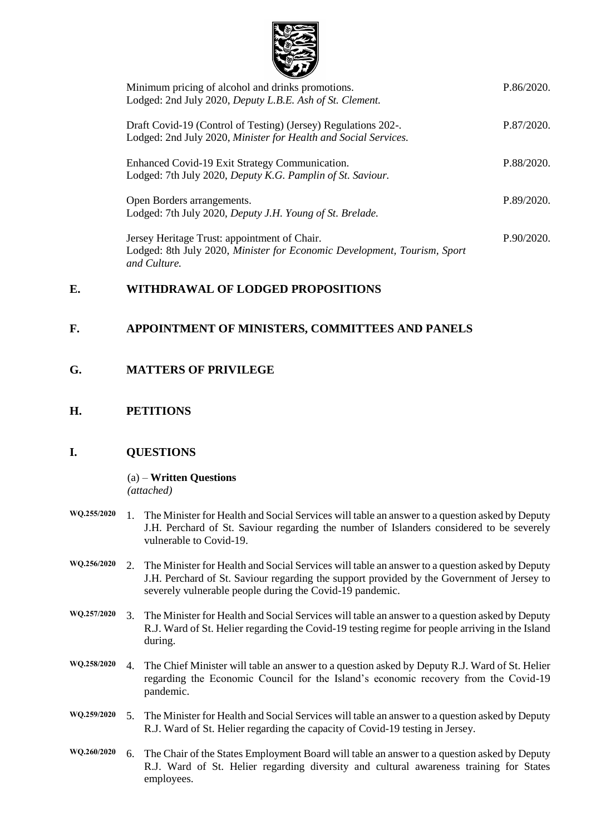

| Minimum pricing of alcohol and drinks promotions.                        | P.86/2020. |
|--------------------------------------------------------------------------|------------|
| Lodged: 2nd July 2020, Deputy L.B.E. Ash of St. Clement.                 |            |
| Draft Covid-19 (Control of Testing) (Jersey) Regulations 202-.           | P.87/2020. |
| Lodged: 2nd July 2020, Minister for Health and Social Services.          |            |
|                                                                          |            |
| Enhanced Covid-19 Exit Strategy Communication.                           | P.88/2020. |
| Lodged: 7th July 2020, Deputy K.G. Pamplin of St. Saviour.               |            |
| Open Borders arrangements.                                               | P.89/2020. |
| Lodged: 7th July 2020, Deputy J.H. Young of St. Brelade.                 |            |
|                                                                          |            |
| Jersey Heritage Trust: appointment of Chair.                             | P.90/2020. |
| Lodged: 8th July 2020, Minister for Economic Development, Tourism, Sport |            |
| and Culture.                                                             |            |

### **E. WITHDRAWAL OF LODGED PROPOSITIONS**

### **F. APPOINTMENT OF MINISTERS, COMMITTEES AND PANELS**

### **G. MATTERS OF PRIVILEGE**

### **H. PETITIONS**

### **I. QUESTIONS**

(a) – **Written Questions** *(attached)*

|  | WQ.255/2020 1. The Minister for Health and Social Services will table an answer to a question asked by Deputy |
|--|---------------------------------------------------------------------------------------------------------------|
|  | J.H. Perchard of St. Saviour regarding the number of Islanders considered to be severely                      |
|  | vulnerable to Covid-19.                                                                                       |

- **WQ.256/2020** 2. The Minister for Health and Social Services will table an answer to a question asked by Deputy J.H. Perchard of St. Saviour regarding the support provided by the Government of Jersey to severely vulnerable people during the Covid-19 pandemic.
- **WQ.257/2020** 3. The Minister for Health and Social Services will table an answer to a question asked by Deputy R.J. Ward of St. Helier regarding the Covid-19 testing regime for people arriving in the Island during.
- **WQ.258/2020** 4. The Chief Minister will table an answer to a question asked by Deputy R.J. Ward of St. Helier regarding the Economic Council for the Island's economic recovery from the Covid-19 pandemic.
- **WQ.259/2020** 5. The Minister for Health and Social Services will table an answer to a question asked by Deputy R.J. Ward of St. Helier regarding the capacity of Covid-19 testing in Jersey.
- **WQ.260/2020** 6. The Chair of the States Employment Board will table an answer to a question asked by Deputy R.J. Ward of St. Helier regarding diversity and cultural awareness training for States employees.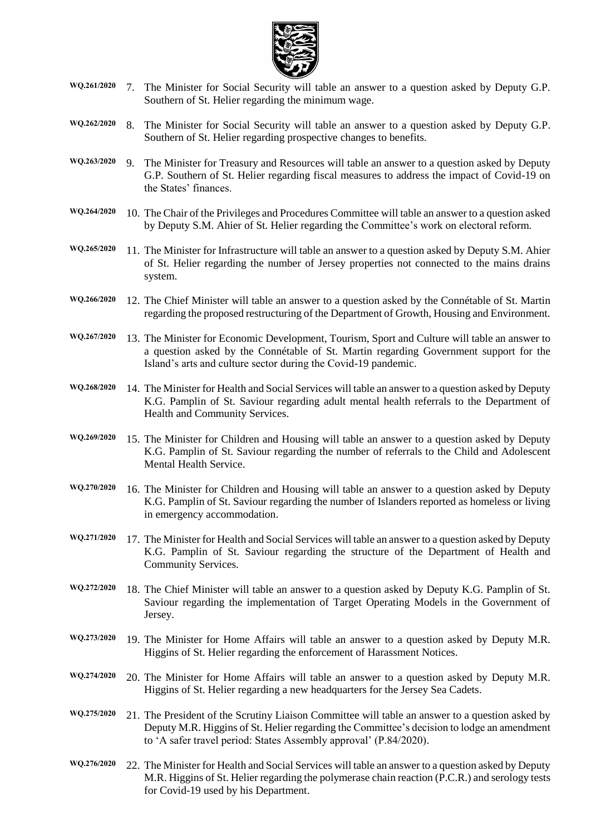

- **WQ.261/2020** 7. The Minister for Social Security will table an answer to a question asked by Deputy G.P. Southern of St. Helier regarding the minimum wage.
- **WQ.262/2020** 8. The Minister for Social Security will table an answer to a question asked by Deputy G.P. Southern of St. Helier regarding prospective changes to benefits.
- **WQ.263/2020** 9. The Minister for Treasury and Resources will table an answer to a question asked by Deputy G.P. Southern of St. Helier regarding fiscal measures to address the impact of Covid-19 on the States' finances.
- **WQ.264/2020** 10. The Chair of the Privileges and Procedures Committee will table an answer to a question asked by Deputy S.M. Ahier of St. Helier regarding the Committee's work on electoral reform.
- **WQ.265/2020** 11. The Minister for Infrastructure will table an answer to a question asked by Deputy S.M. Ahier of St. Helier regarding the number of Jersey properties not connected to the mains drains system.
- **WQ.266/2020** 12. The Chief Minister will table an answer to a question asked by the Connétable of St. Martin regarding the proposed restructuring of the Department of Growth, Housing and Environment.
- **WQ.267/2020** 13. The Minister for Economic Development, Tourism, Sport and Culture will table an answer to a question asked by the Connétable of St. Martin regarding Government support for the Island's arts and culture sector during the Covid-19 pandemic.
- **WQ.268/2020** 14. The Minister for Health and Social Services will table an answer to a question asked by Deputy K.G. Pamplin of St. Saviour regarding adult mental health referrals to the Department of Health and Community Services.
- **WQ.269/2020** 15. The Minister for Children and Housing will table an answer to a question asked by Deputy K.G. Pamplin of St. Saviour regarding the number of referrals to the Child and Adolescent Mental Health Service.
- **WQ.270/2020** 16. The Minister for Children and Housing will table an answer to a question asked by Deputy K.G. Pamplin of St. Saviour regarding the number of Islanders reported as homeless or living in emergency accommodation.
- **WQ.271/2020** 17. The Minister for Health and Social Services will table an answer to a question asked by Deputy K.G. Pamplin of St. Saviour regarding the structure of the Department of Health and Community Services.
- **WQ.272/2020** 18. The Chief Minister will table an answer to a question asked by Deputy K.G. Pamplin of St. Saviour regarding the implementation of Target Operating Models in the Government of Jersey.
- **WQ.273/2020** 19. The Minister for Home Affairs will table an answer to a question asked by Deputy M.R. Higgins of St. Helier regarding the enforcement of Harassment Notices.
- **WQ.274/2020** 20. The Minister for Home Affairs will table an answer to a question asked by Deputy M.R. Higgins of St. Helier regarding a new headquarters for the Jersey Sea Cadets.
- **WQ.275/2020** 21. The President of the Scrutiny Liaison Committee will table an answer to a question asked by Deputy M.R. Higgins of St. Helier regarding the Committee's decision to lodge an amendment to 'A safer travel period: States Assembly approval' (P.84/2020).
- **WQ.276/2020** 22. The Minister for Health and Social Services will table an answer to a question asked by Deputy M.R. Higgins of St. Helier regarding the polymerase chain reaction (P.C.R.) and serology tests for Covid-19 used by his Department.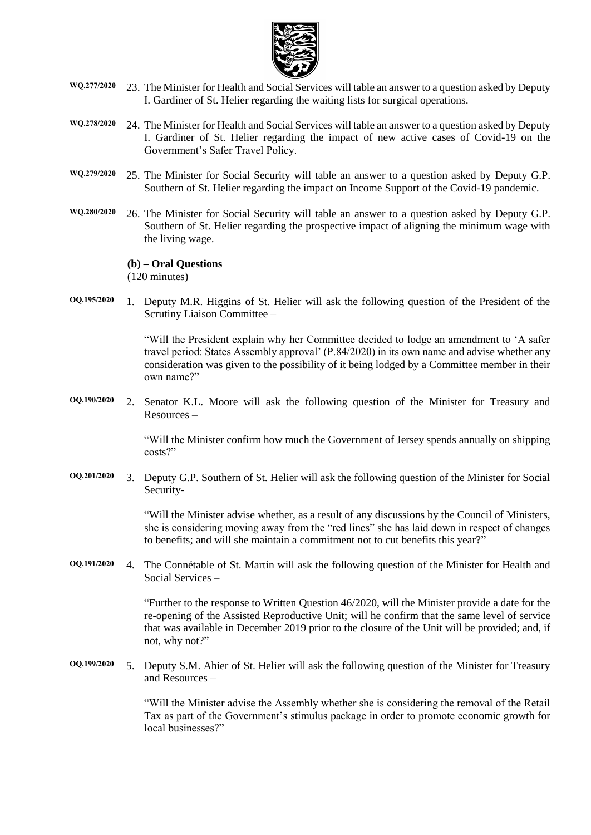

- **WQ.277/2020** 23. The Minister for Health and Social Services will table an answer to a question asked by Deputy I. Gardiner of St. Helier regarding the waiting lists for surgical operations.
- **WQ.278/2020** 24. The Minister for Health and Social Services will table an answer to a question asked by Deputy I. Gardiner of St. Helier regarding the impact of new active cases of Covid-19 on the Government's Safer Travel Policy.
- **WQ.279/2020** 25. The Minister for Social Security will table an answer to a question asked by Deputy G.P. Southern of St. Helier regarding the impact on Income Support of the Covid-19 pandemic.
- **WQ.280/2020** 26. The Minister for Social Security will table an answer to a question asked by Deputy G.P. Southern of St. Helier regarding the prospective impact of aligning the minimum wage with the living wage.

#### **(b) – Oral Questions**

(120 minutes)

**OQ.195/2020** 1. Deputy M.R. Higgins of St. Helier will ask the following question of the President of the Scrutiny Liaison Committee –

> "Will the President explain why her Committee decided to lodge an amendment to 'A safer travel period: States Assembly approval' (P.84/2020) in its own name and advise whether any consideration was given to the possibility of it being lodged by a Committee member in their own name?"

**OQ.190/2020** 2. Senator K.L. Moore will ask the following question of the Minister for Treasury and Resources –

> "Will the Minister confirm how much the Government of Jersey spends annually on shipping costs?"

**OQ.201/2020** 3. Deputy G.P. Southern of St. Helier will ask the following question of the Minister for Social Security-

> "Will the Minister advise whether, as a result of any discussions by the Council of Ministers, she is considering moving away from the "red lines" she has laid down in respect of changes to benefits; and will she maintain a commitment not to cut benefits this year?"

**OQ.191/2020** 4. The Connétable of St. Martin will ask the following question of the Minister for Health and Social Services –

> "Further to the response to Written Question 46/2020, will the Minister provide a date for the re-opening of the Assisted Reproductive Unit; will he confirm that the same level of service that was available in December 2019 prior to the closure of the Unit will be provided; and, if not, why not?"

**OQ.199/2020** 5. Deputy S.M. Ahier of St. Helier will ask the following question of the Minister for Treasury and Resources –

> "Will the Minister advise the Assembly whether she is considering the removal of the Retail Tax as part of the Government's stimulus package in order to promote economic growth for local businesses?"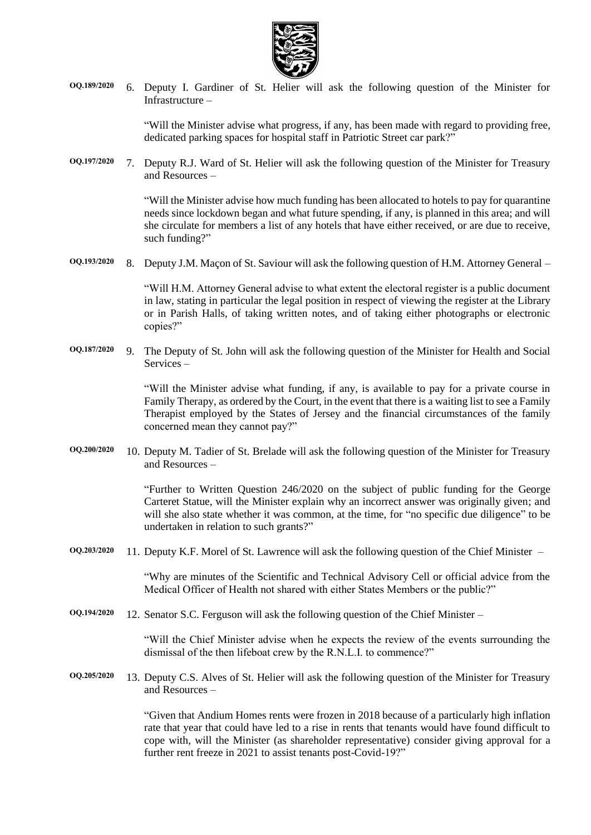

**OQ.189/2020** 6. Deputy I. Gardiner of St. Helier will ask the following question of the Minister for Infrastructure –

> "Will the Minister advise what progress, if any, has been made with regard to providing free, dedicated parking spaces for hospital staff in Patriotic Street car park?"

**OQ.197/2020** 7. Deputy R.J. Ward of St. Helier will ask the following question of the Minister for Treasury and Resources –

> "Will the Minister advise how much funding has been allocated to hotels to pay for quarantine needs since lockdown began and what future spending, if any, is planned in this area; and will she circulate for members a list of any hotels that have either received, or are due to receive, such funding?"

**OQ.193/2020** 8. Deputy J.M. Maçon of St. Saviour will ask the following question of H.M. Attorney General –

"Will H.M. Attorney General advise to what extent the electoral register is a public document in law, stating in particular the legal position in respect of viewing the register at the Library or in Parish Halls, of taking written notes, and of taking either photographs or electronic copies?"

**OQ.187/2020** 9. The Deputy of St. John will ask the following question of the Minister for Health and Social Services –

> "Will the Minister advise what funding, if any, is available to pay for a private course in Family Therapy, as ordered by the Court, in the event that there is a waiting list to see a Family Therapist employed by the States of Jersey and the financial circumstances of the family concerned mean they cannot pay?"

**OQ.200/2020** 10. Deputy M. Tadier of St. Brelade will ask the following question of the Minister for Treasury and Resources –

> "Further to Written Question 246/2020 on the subject of public funding for the George Carteret Statue, will the Minister explain why an incorrect answer was originally given; and will she also state whether it was common, at the time, for "no specific due diligence" to be undertaken in relation to such grants?"

**OQ.203/2020** 11. Deputy K.F. Morel of St. Lawrence will ask the following question of the Chief Minister –

"Why are minutes of the Scientific and Technical Advisory Cell or official advice from the Medical Officer of Health not shared with either States Members or the public?"

**OQ.194/2020** 12. Senator S.C. Ferguson will ask the following question of the Chief Minister –

"Will the Chief Minister advise when he expects the review of the events surrounding the dismissal of the then lifeboat crew by the R.N.L.I. to commence?"

**OQ.205/2020** 13. Deputy C.S. Alves of St. Helier will ask the following question of the Minister for Treasury and Resources –

> "Given that Andium Homes rents were frozen in 2018 because of a particularly high inflation rate that year that could have led to a rise in rents that tenants would have found difficult to cope with, will the Minister (as shareholder representative) consider giving approval for a further rent freeze in 2021 to assist tenants post-Covid-19?"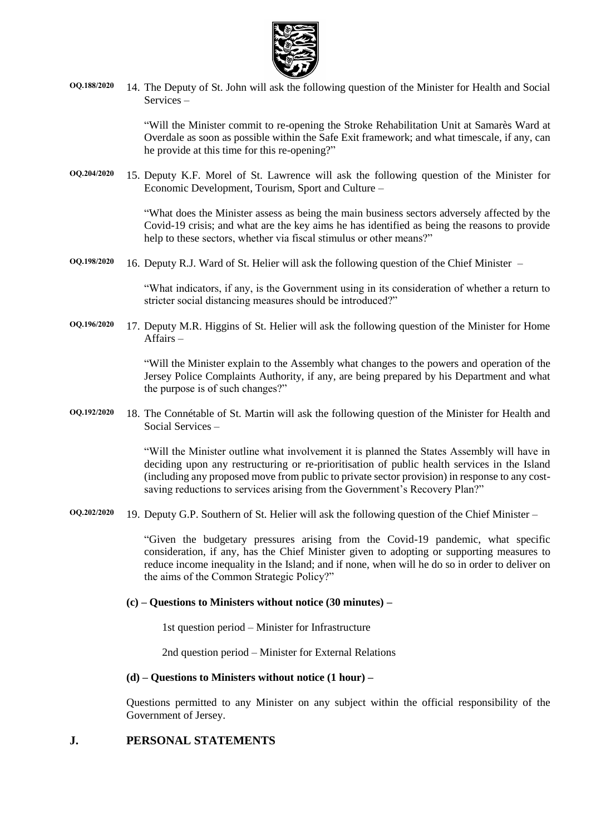

**OQ.188/2020** 14. The Deputy of St. John will ask the following question of the Minister for Health and Social Services –

> "Will the Minister commit to re-opening the Stroke Rehabilitation Unit at Samarès Ward at Overdale as soon as possible within the Safe Exit framework; and what timescale, if any, can he provide at this time for this re-opening?"

**OQ.204/2020** 15. Deputy K.F. Morel of St. Lawrence will ask the following question of the Minister for Economic Development, Tourism, Sport and Culture –

> "What does the Minister assess as being the main business sectors adversely affected by the Covid-19 crisis; and what are the key aims he has identified as being the reasons to provide help to these sectors, whether via fiscal stimulus or other means?"

**OQ.198/2020** 16. Deputy R.J. Ward of St. Helier will ask the following question of the Chief Minister –

"What indicators, if any, is the Government using in its consideration of whether a return to stricter social distancing measures should be introduced?"

**OQ.196/2020** 17. Deputy M.R. Higgins of St. Helier will ask the following question of the Minister for Home Affairs –

> "Will the Minister explain to the Assembly what changes to the powers and operation of the Jersey Police Complaints Authority, if any, are being prepared by his Department and what the purpose is of such changes?"

**OQ.192/2020** 18. The Connétable of St. Martin will ask the following question of the Minister for Health and Social Services –

> "Will the Minister outline what involvement it is planned the States Assembly will have in deciding upon any restructuring or re-prioritisation of public health services in the Island (including any proposed move from public to private sector provision) in response to any costsaving reductions to services arising from the Government's Recovery Plan?"

**OQ.202/2020** 19. Deputy G.P. Southern of St. Helier will ask the following question of the Chief Minister –

"Given the budgetary pressures arising from the Covid-19 pandemic, what specific consideration, if any, has the Chief Minister given to adopting or supporting measures to reduce income inequality in the Island; and if none, when will he do so in order to deliver on the aims of the Common Strategic Policy?"

#### **(c) – Questions to Ministers without notice (30 minutes) –**

1st question period – Minister for Infrastructure

2nd question period – Minister for External Relations

#### **(d) – Questions to Ministers without notice (1 hour) –**

Questions permitted to any Minister on any subject within the official responsibility of the Government of Jersey.

#### **J. PERSONAL STATEMENTS**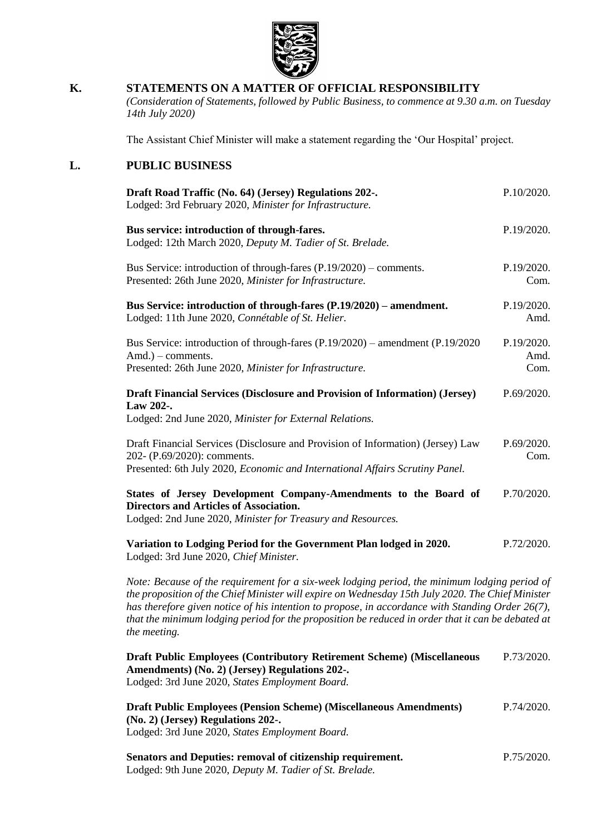

### **K. STATEMENTS ON A MATTER OF OFFICIAL RESPONSIBILITY**

*(Consideration of Statements, followed by Public Business, to commence at 9.30 a.m. on Tuesday 14th July 2020)*

The Assistant Chief Minister will make a statement regarding the 'Our Hospital' project.

#### **L. PUBLIC BUSINESS**

| Draft Road Traffic (No. 64) (Jersey) Regulations 202-.<br>Lodged: 3rd February 2020, Minister for Infrastructure.                                                                                                                                                                                                                                                                                                           | P.10/2020.                 |
|-----------------------------------------------------------------------------------------------------------------------------------------------------------------------------------------------------------------------------------------------------------------------------------------------------------------------------------------------------------------------------------------------------------------------------|----------------------------|
| Bus service: introduction of through-fares.<br>Lodged: 12th March 2020, Deputy M. Tadier of St. Brelade.                                                                                                                                                                                                                                                                                                                    | P.19/2020.                 |
| Bus Service: introduction of through-fares $(P.19/2020)$ – comments.<br>Presented: 26th June 2020, Minister for Infrastructure.                                                                                                                                                                                                                                                                                             | P.19/2020.<br>Com.         |
| Bus Service: introduction of through-fares (P.19/2020) – amendment.<br>Lodged: 11th June 2020, Connétable of St. Helier.                                                                                                                                                                                                                                                                                                    | P.19/2020.<br>Amd.         |
| Bus Service: introduction of through-fares (P.19/2020) – amendment (P.19/2020)<br>Amd.) – comments.<br>Presented: 26th June 2020, Minister for Infrastructure.                                                                                                                                                                                                                                                              | P.19/2020.<br>Amd.<br>Com. |
| Draft Financial Services (Disclosure and Provision of Information) (Jersey)<br>Law 202-.<br>Lodged: 2nd June 2020, Minister for External Relations.                                                                                                                                                                                                                                                                         | P.69/2020.                 |
| Draft Financial Services (Disclosure and Provision of Information) (Jersey) Law<br>202- (P.69/2020): comments.<br>Presented: 6th July 2020, Economic and International Affairs Scrutiny Panel.                                                                                                                                                                                                                              | P.69/2020.<br>Com.         |
| States of Jersey Development Company-Amendments to the Board of<br><b>Directors and Articles of Association.</b><br>Lodged: 2nd June 2020, Minister for Treasury and Resources.                                                                                                                                                                                                                                             | P.70/2020.                 |
| Variation to Lodging Period for the Government Plan lodged in 2020.<br>Lodged: 3rd June 2020, Chief Minister.                                                                                                                                                                                                                                                                                                               | P.72/2020.                 |
| Note: Because of the requirement for a six-week lodging period, the minimum lodging period of<br>the proposition of the Chief Minister will expire on Wednesday 15th July 2020. The Chief Minister<br>has therefore given notice of his intention to propose, in accordance with Standing Order 26(7),<br>that the minimum lodging period for the proposition be reduced in order that it can be debated at<br>the meeting. |                            |

| <b>Draft Public Employees (Contributory Retirement Scheme) (Miscellaneous</b> | P.73/2020. |
|-------------------------------------------------------------------------------|------------|
| Amendments) (No. 2) (Jersey) Regulations 202-.                                |            |
| Lodged: 3rd June 2020, States Employment Board.                               |            |

**[Draft Public Employees \(Pension Scheme\) \(Miscellaneous Amendments\)](https://statesassembly.gov.je/AssemblyPropositions/2020/P.74-2020.pdf)  [\(No. 2\) \(Jersey\) Regulations 202-.](https://statesassembly.gov.je/AssemblyPropositions/2020/P.74-2020.pdf)** Lodged: 3rd June 2020, *[States Employment Board.](https://statesassembly.gov.je/AssemblyPropositions/2020/P.74-2020.pdf)* [P.74/2020.](https://statesassembly.gov.je/AssemblyPropositions/2020/P.74-2020.pdf)

| <b>Senators and Deputies: removal of citizenship requirement.</b> | P.75/2020. |
|-------------------------------------------------------------------|------------|
| Lodged: 9th June 2020, Deputy M. Tadier of St. Brelade.           |            |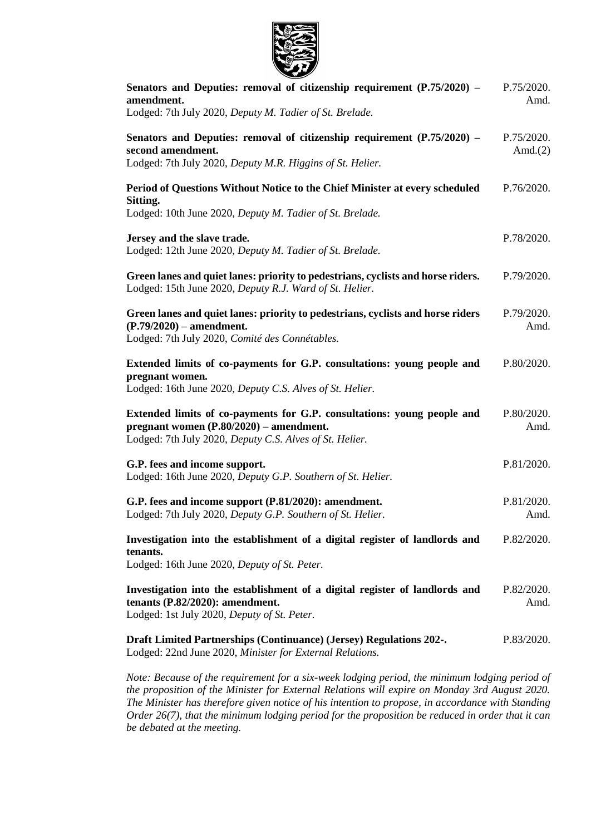

| Senators and Deputies: removal of citizenship requirement $(P.75/2020)$ –<br>amendment.<br>Lodged: 7th July 2020, Deputy M. Tadier of St. Brelade.                              |                          |
|---------------------------------------------------------------------------------------------------------------------------------------------------------------------------------|--------------------------|
| Senators and Deputies: removal of citizenship requirement $(P.75/2020)$ –<br>second amendment.<br>Lodged: 7th July 2020, Deputy M.R. Higgins of St. Helier.                     | P.75/2020.<br>Amd. $(2)$ |
| Period of Questions Without Notice to the Chief Minister at every scheduled<br>Sitting.<br>Lodged: 10th June 2020, Deputy M. Tadier of St. Brelade.                             | P.76/2020.               |
| Jersey and the slave trade.<br>Lodged: 12th June 2020, Deputy M. Tadier of St. Brelade.                                                                                         | P.78/2020.               |
| Green lanes and quiet lanes: priority to pedestrians, cyclists and horse riders.<br>Lodged: 15th June 2020, Deputy R.J. Ward of St. Helier.                                     | P.79/2020.               |
| Green lanes and quiet lanes: priority to pedestrians, cyclists and horse riders<br>$(P.79/2020)$ – amendment.<br>Lodged: 7th July 2020, Comité des Connétables.                 | P.79/2020.<br>Amd.       |
| Extended limits of co-payments for G.P. consultations: young people and<br>pregnant women.<br>Lodged: 16th June 2020, Deputy C.S. Alves of St. Helier.                          | P.80/2020.               |
| Extended limits of co-payments for G.P. consultations: young people and<br>pregnant women $(P.80/2020)$ – amendment.<br>Lodged: 7th July 2020, Deputy C.S. Alves of St. Helier. | P.80/2020.<br>Amd.       |
| G.P. fees and income support.<br>Lodged: 16th June 2020, Deputy G.P. Southern of St. Helier.                                                                                    | P.81/2020.               |
| G.P. fees and income support (P.81/2020): amendment.<br>Lodged: 7th July 2020, Deputy G.P. Southern of St. Helier.                                                              | P.81/2020.<br>Amd.       |
| Investigation into the establishment of a digital register of landlords and<br>tenants.<br>Lodged: 16th June 2020, Deputy of St. Peter.                                         | P.82/2020.               |
| Investigation into the establishment of a digital register of landlords and<br>tenants $(P.82/2020)$ : amendment.<br>Lodged: 1st July 2020, Deputy of St. Peter.                | P.82/2020.<br>Amd.       |
| Draft Limited Partnerships (Continuance) (Jersey) Regulations 202-.<br>Lodged: 22nd June 2020, Minister for External Relations.                                                 | P.83/2020.               |

*Note: Because of the requirement for a six-week lodging period, the minimum lodging period of the proposition of the Minister for External Relations will expire on Monday 3rd August 2020. The Minister has therefore given notice of his intention to propose, in accordance with Standing Order 26(7), that the minimum lodging period for the proposition be reduced in order that it can be debated at the meeting.*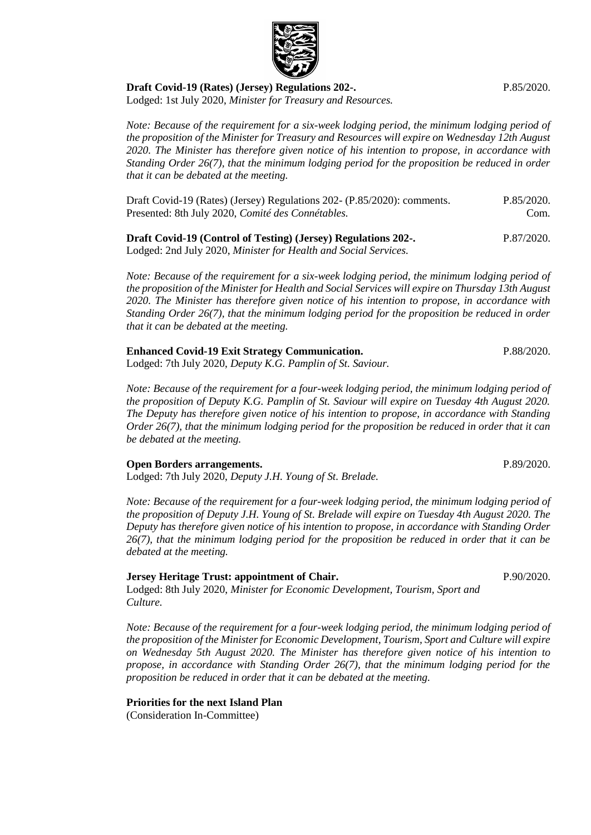

*Note: Because of the requirement for a six-week lodging period, the minimum lodging period of the proposition of the Minister for Treasury and Resources will expire on Wednesday 12th August 2020. The Minister has therefore given notice of his intention to propose, in accordance with Standing Order 26(7), that the minimum lodging period for the proposition be reduced in order that it can be debated at the meeting.*

[Draft Covid-19 \(Rates\) \(Jersey\) Regulations 202-](https://statesassembly.gov.je/AssemblyPropositions/2020/P.85-2020Com.pdf) (P.85/2020): comments. [Presented: 8th July 2020,](https://statesassembly.gov.je/AssemblyPropositions/2020/P.85-2020Com.pdf) *Comité des Connétables.* [P.85/2020.](https://statesassembly.gov.je/AssemblyPropositions/2020/P.85-2020Com.pdf) [Com.](https://statesassembly.gov.je/AssemblyPropositions/2020/P.85-2020Com.pdf)

**[Draft Covid-19 \(Control of Testing\) \(Jersey\) Regulations 202-.](https://statesassembly.gov.je/AssemblyPropositions/2020/P.87-2020.pdf)** Lodged: 2nd July 2020, *[Minister for Health and Social Services.](https://statesassembly.gov.je/AssemblyPropositions/2020/P.87-2020.pdf)* [P.87/2020.](https://statesassembly.gov.je/AssemblyPropositions/2020/P.87-2020.pdf)

*Note: Because of the requirement for a six-week lodging period, the minimum lodging period of the proposition of the Minister for Health and Social Services will expire on Thursday 13th August 2020. The Minister has therefore given notice of his intention to propose, in accordance with Standing Order 26(7), that the minimum lodging period for the proposition be reduced in order that it can be debated at the meeting.*

#### **[Enhanced Covid-19 Exit Strategy Communication.](https://statesassembly.gov.je/AssemblyPropositions/2020/P.88-2020.pdf)**

Lodged: 7th July 2020, *[Deputy K.G. Pamplin of St. Saviour.](https://statesassembly.gov.je/AssemblyPropositions/2020/P.88-2020.pdf)*

*Note: Because of the requirement for a four-week lodging period, the minimum lodging period of the proposition of Deputy K.G. Pamplin of St. Saviour will expire on Tuesday 4th August 2020. The Deputy has therefore given notice of his intention to propose, in accordance with Standing Order 26(7), that the minimum lodging period for the proposition be reduced in order that it can be debated at the meeting.*

#### **[Open Borders arrangements.](https://statesassembly.gov.je/AssemblyPropositions/2020/P.89-2020.pdf)**

Lodged: 7th July 2020, *[Deputy J.H. Young of St.](https://statesassembly.gov.je/AssemblyPropositions/2020/P.89-2020.pdf) Brelade.*

*Note: Because of the requirement for a four-week lodging period, the minimum lodging period of the proposition of Deputy J.H. Young of St. Brelade will expire on Tuesday 4th August 2020. The Deputy has therefore given notice of his intention to propose, in accordance with Standing Order 26(7), that the minimum lodging period for the proposition be reduced in order that it can be debated at the meeting.*

#### **Jersey Heritage Trust: appointment of Chair.**

Lodged: 8th July 2020, *Minister for Economic Development, Tourism, Sport and Culture.*

*Note: Because of the requirement for a four-week lodging period, the minimum lodging period of the proposition of the Minister for Economic Development, Tourism, Sport and Culture will expire on Wednesday 5th August 2020. The Minister has therefore given notice of his intention to propose, in accordance with Standing Order 26(7), that the minimum lodging period for the proposition be reduced in order that it can be debated at the meeting.*

#### **Priorities for the next Island Plan**

(Consideration In-Committee)

P.90/2020.



[P.85/2020.](https://statesassembly.gov.je/AssemblyPropositions/2020/P.85-2020.pdf)

[P.89/2020.](https://statesassembly.gov.je/AssemblyPropositions/2020/P.89-2020.pdf)

[P.88/2020.](https://statesassembly.gov.je/AssemblyPropositions/2020/P.88-2020.pdf)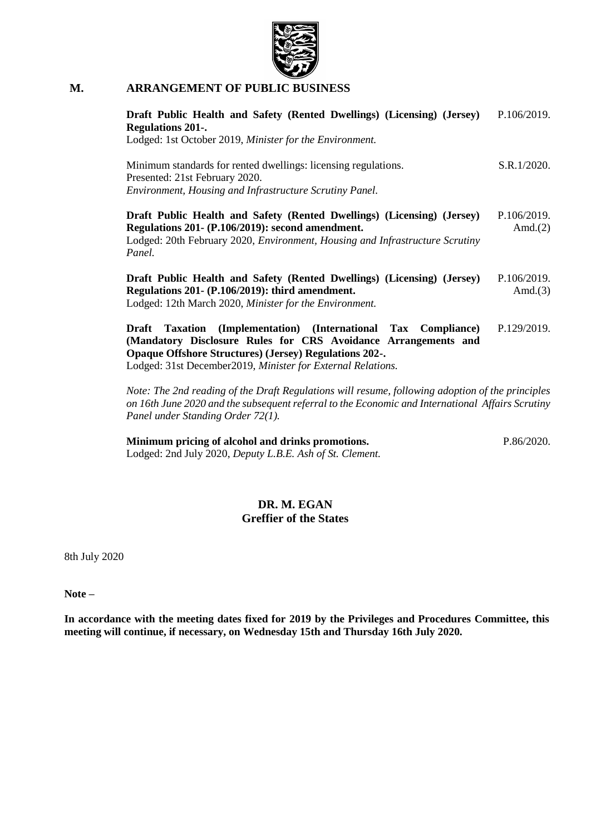

### **M. ARRANGEMENT OF PUBLIC BUSINESS**

| Draft Public Health and Safety (Rented Dwellings) (Licensing) (Jersey)<br><b>Regulations 201-.</b><br>Lodged: 1st October 2019, Minister for the Environment.                                                                                                           | P.106/2019.               |
|-------------------------------------------------------------------------------------------------------------------------------------------------------------------------------------------------------------------------------------------------------------------------|---------------------------|
| Minimum standards for rented dwellings: licensing regulations.<br>Presented: 21st February 2020.<br>Environment, Housing and Infrastructure Scrutiny Panel.                                                                                                             | S.R.1/2020.               |
| Draft Public Health and Safety (Rented Dwellings) (Licensing) (Jersey)<br>Regulations 201- (P.106/2019): second amendment.<br>Lodged: 20th February 2020, <i>Environment</i> , <i>Housing and Infrastructure Scrutiny</i><br>Panel.                                     | P.106/2019.<br>Amd. $(2)$ |
| Draft Public Health and Safety (Rented Dwellings) (Licensing) (Jersey)<br>Regulations 201- (P.106/2019): third amendment.<br>Lodged: 12th March 2020, Minister for the Environment.                                                                                     | P.106/2019.<br>Amd. $(3)$ |
| (Implementation) (International Tax Compliance)<br>Draft<br>Taxation<br>(Mandatory Disclosure Rules for CRS Avoidance Arrangements and<br><b>Opaque Offshore Structures</b> ) (Jersey) Regulations 202-.<br>Lodged: 31st December2019, Minister for External Relations. | P.129/2019.               |
| Note: The 2nd reading of the Draft Regulations will resume, following adoption of the principles<br>on 16th June 2020 and the subsequent referral to the Economic and International Affairs Scrutiny                                                                    |                           |

*on 16th June 2020 and the subsequent referral to the Economic and International Affairs Scrutiny Panel under Standing Order 72(1).* 

**[Minimum pricing of alcohol and drinks promotions.](https://statesassembly.gov.je/AssemblyPropositions/2020/P.86-2020.pdf)** Lodged: 2nd July 2020, *[Deputy L.B.E. Ash of St. Clement.](https://statesassembly.gov.je/AssemblyPropositions/2020/P.86-2020.pdf)* [P.86/2020.](https://statesassembly.gov.je/AssemblyPropositions/2020/P.86-2020.pdf)

### **DR. M. EGAN Greffier of the States**

8th July 2020

**Note –**

**In accordance with the meeting dates fixed for 2019 by the Privileges and Procedures Committee, this meeting will continue, if necessary, on Wednesday 15th and Thursday 16th July 2020.**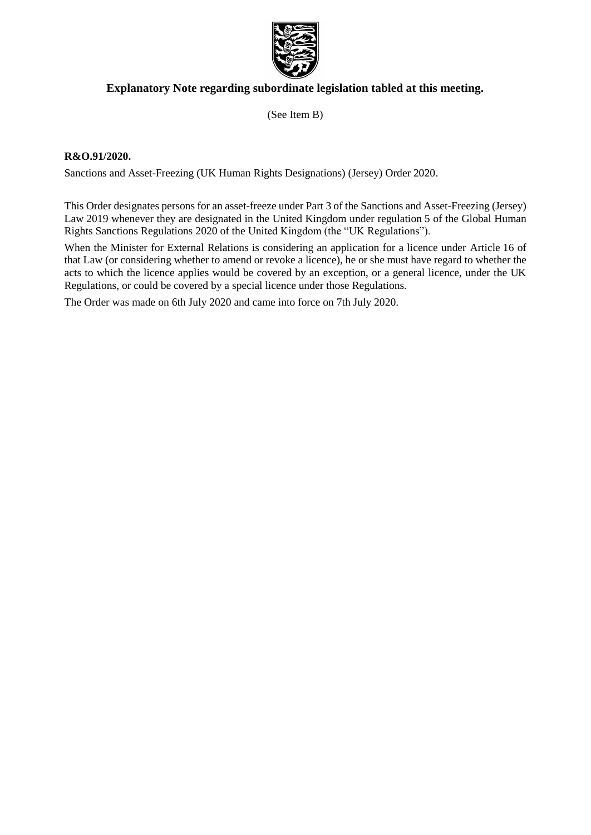

### **Explanatory Note regarding subordinate legislation tabled at this meeting.**

(See Item B)

#### **R&O.91/2020.**

Sanctions and Asset-Freezing (UK Human Rights Designations) (Jersey) Order 2020.

This Order designates persons for an asset-freeze under Part 3 of the Sanctions and Asset-Freezing (Jersey) Law 2019 whenever they are designated in the United Kingdom under regulation 5 of the Global Human Rights Sanctions Regulations 2020 of the United Kingdom (the "UK Regulations").

When the Minister for External Relations is considering an application for a licence under Article 16 of that Law (or considering whether to amend or revoke a licence), he or she must have regard to whether the acts to which the licence applies would be covered by an exception, or a general licence, under the UK Regulations, or could be covered by a special licence under those Regulations.

The Order was made on 6th July 2020 and came into force on 7th July 2020.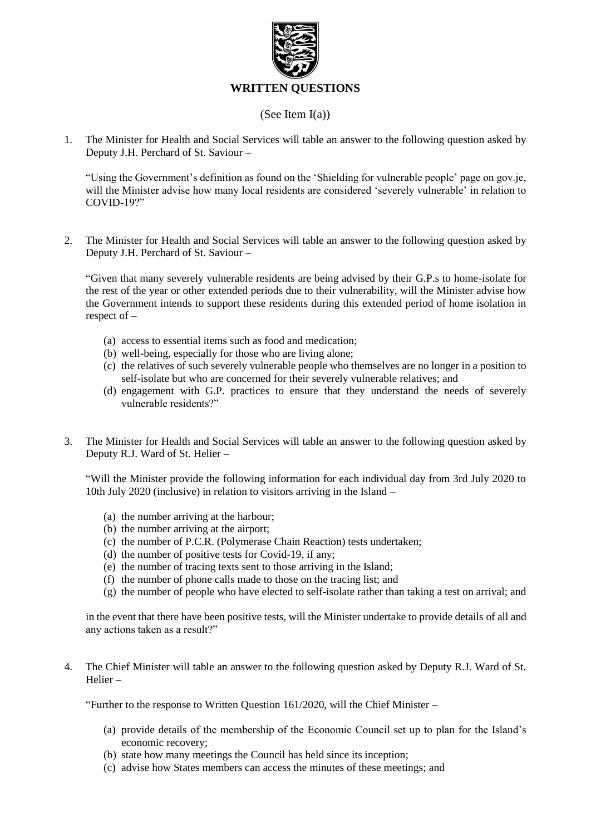

### (See Item I(a))

1. The Minister for Health and Social Services will table an answer to the following question asked by Deputy J.H. Perchard of St. Saviour –

"Using the Government's definition as found on the 'Shielding for vulnerable people' page on gov.je, will the Minister advise how many local residents are considered 'severely vulnerable' in relation to COVID-19?"

2. The Minister for Health and Social Services will table an answer to the following question asked by Deputy J.H. Perchard of St. Saviour –

"Given that many severely vulnerable residents are being advised by their G.P.s to home-isolate for the rest of the year or other extended periods due to their vulnerability, will the Minister advise how the Government intends to support these residents during this extended period of home isolation in respect of –

- (a) access to essential items such as food and medication;
- (b) well-being, especially for those who are living alone;
- (c) the relatives of such severely vulnerable people who themselves are no longer in a position to self-isolate but who are concerned for their severely vulnerable relatives; and
- (d) engagement with G.P. practices to ensure that they understand the needs of severely vulnerable residents?"
- 3. The Minister for Health and Social Services will table an answer to the following question asked by Deputy R.J. Ward of St. Helier –

"Will the Minister provide the following information for each individual day from 3rd July 2020 to 10th July 2020 (inclusive) in relation to visitors arriving in the Island –

- (a) the number arriving at the harbour;
- (b) the number arriving at the airport;
- (c) the number of P.C.R. (Polymerase Chain Reaction) tests undertaken;
- (d) the number of positive tests for Covid-19, if any;
- (e) the number of tracing texts sent to those arriving in the Island;
- (f) the number of phone calls made to those on the tracing list; and
- (g) the number of people who have elected to self-isolate rather than taking a test on arrival; and

in the event that there have been positive tests, will the Minister undertake to provide details of all and any actions taken as a result?"

4. The Chief Minister will table an answer to the following question asked by Deputy R.J. Ward of St. Helier –

"Further to the response to Written Question 161/2020, will the Chief Minister –

- (a) provide details of the membership of the Economic Council set up to plan for the Island's economic recovery;
- (b) state how many meetings the Council has held since its inception;
- (c) advise how States members can access the minutes of these meetings; and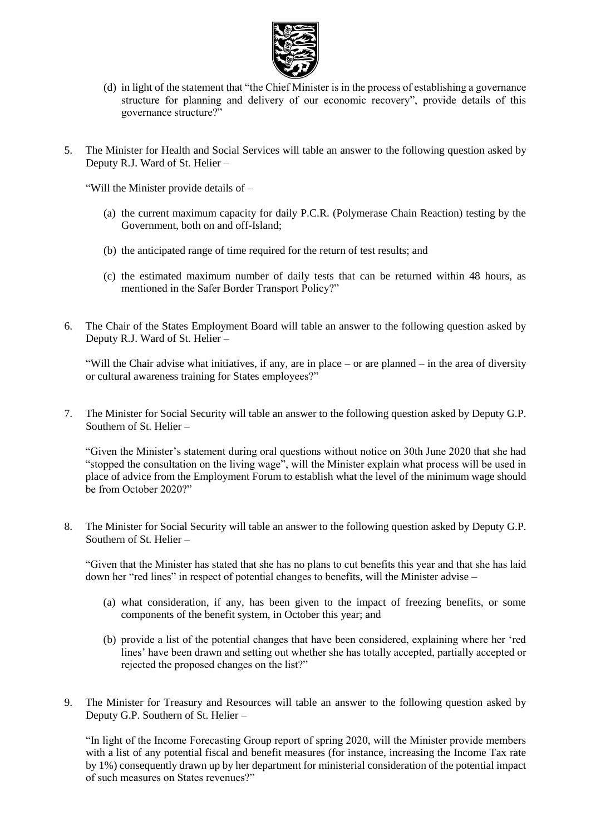

- (d) in light of the statement that "the Chief Minister is in the process of establishing a governance structure for planning and delivery of our economic recovery", provide details of this governance structure?"
- 5. The Minister for Health and Social Services will table an answer to the following question asked by Deputy R.J. Ward of St. Helier –

"Will the Minister provide details of –

- (a) the current maximum capacity for daily P.C.R. (Polymerase Chain Reaction) testing by the Government, both on and off-Island;
- (b) the anticipated range of time required for the return of test results; and
- (c) the estimated maximum number of daily tests that can be returned within 48 hours, as mentioned in the Safer Border Transport Policy?"
- 6. The Chair of the States Employment Board will table an answer to the following question asked by Deputy R.J. Ward of St. Helier –

"Will the Chair advise what initiatives, if any, are in place – or are planned – in the area of diversity or cultural awareness training for States employees?"

7. The Minister for Social Security will table an answer to the following question asked by Deputy G.P. Southern of St. Helier –

"Given the Minister's statement during oral questions without notice on 30th June 2020 that she had "stopped the consultation on the living wage", will the Minister explain what process will be used in place of advice from the Employment Forum to establish what the level of the minimum wage should be from October 2020?"

8. The Minister for Social Security will table an answer to the following question asked by Deputy G.P. Southern of St. Helier –

"Given that the Minister has stated that she has no plans to cut benefits this year and that she has laid down her "red lines" in respect of potential changes to benefits, will the Minister advise –

- (a) what consideration, if any, has been given to the impact of freezing benefits, or some components of the benefit system, in October this year; and
- (b) provide a list of the potential changes that have been considered, explaining where her 'red lines' have been drawn and setting out whether she has totally accepted, partially accepted or rejected the proposed changes on the list?"
- 9. The Minister for Treasury and Resources will table an answer to the following question asked by Deputy G.P. Southern of St. Helier –

"In light of the Income Forecasting Group report of spring 2020, will the Minister provide members with a list of any potential fiscal and benefit measures (for instance, increasing the Income Tax rate by 1%) consequently drawn up by her department for ministerial consideration of the potential impact of such measures on States revenues?"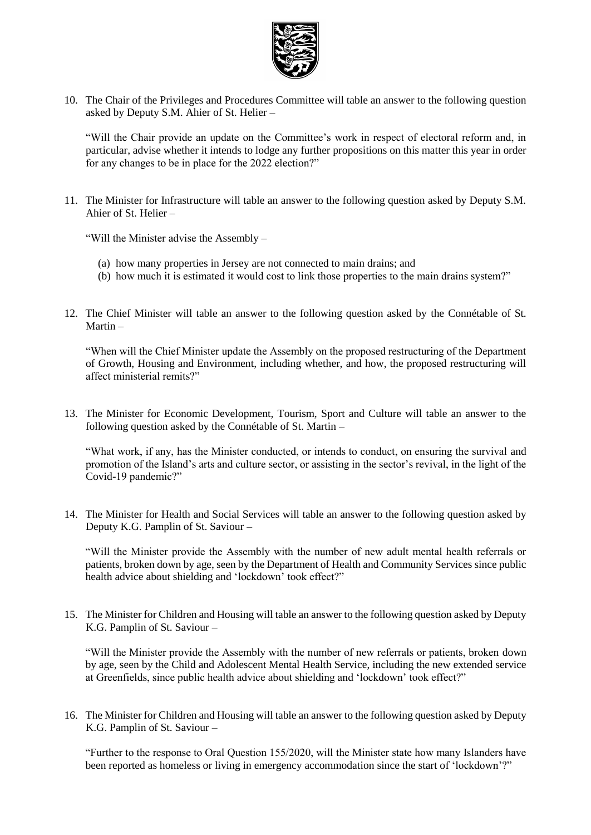

10. The Chair of the Privileges and Procedures Committee will table an answer to the following question asked by Deputy S.M. Ahier of St. Helier –

"Will the Chair provide an update on the Committee's work in respect of electoral reform and, in particular, advise whether it intends to lodge any further propositions on this matter this year in order for any changes to be in place for the 2022 election?"

11. The Minister for Infrastructure will table an answer to the following question asked by Deputy S.M. Ahier of St. Helier –

"Will the Minister advise the Assembly –

- (a) how many properties in Jersey are not connected to main drains; and
- (b) how much it is estimated it would cost to link those properties to the main drains system?"
- 12. The Chief Minister will table an answer to the following question asked by the Connétable of St. Martin –

"When will the Chief Minister update the Assembly on the proposed restructuring of the Department of Growth, Housing and Environment, including whether, and how, the proposed restructuring will affect ministerial remits?"

13. The Minister for Economic Development, Tourism, Sport and Culture will table an answer to the following question asked by the Connétable of St. Martin –

"What work, if any, has the Minister conducted, or intends to conduct, on ensuring the survival and promotion of the Island's arts and culture sector, or assisting in the sector's revival, in the light of the Covid-19 pandemic?"

14. The Minister for Health and Social Services will table an answer to the following question asked by Deputy K.G. Pamplin of St. Saviour –

"Will the Minister provide the Assembly with the number of new adult mental health referrals or patients, broken down by age, seen by the Department of Health and Community Services since public health advice about shielding and 'lockdown' took effect?"

15. The Minister for Children and Housing will table an answer to the following question asked by Deputy K.G. Pamplin of St. Saviour –

"Will the Minister provide the Assembly with the number of new referrals or patients, broken down by age, seen by the Child and Adolescent Mental Health Service, including the new extended service at Greenfields, since public health advice about shielding and 'lockdown' took effect?"

16. The Minister for Children and Housing will table an answer to the following question asked by Deputy K.G. Pamplin of St. Saviour –

"Further to the response to Oral Question 155/2020, will the Minister state how many Islanders have been reported as homeless or living in emergency accommodation since the start of 'lockdown'?"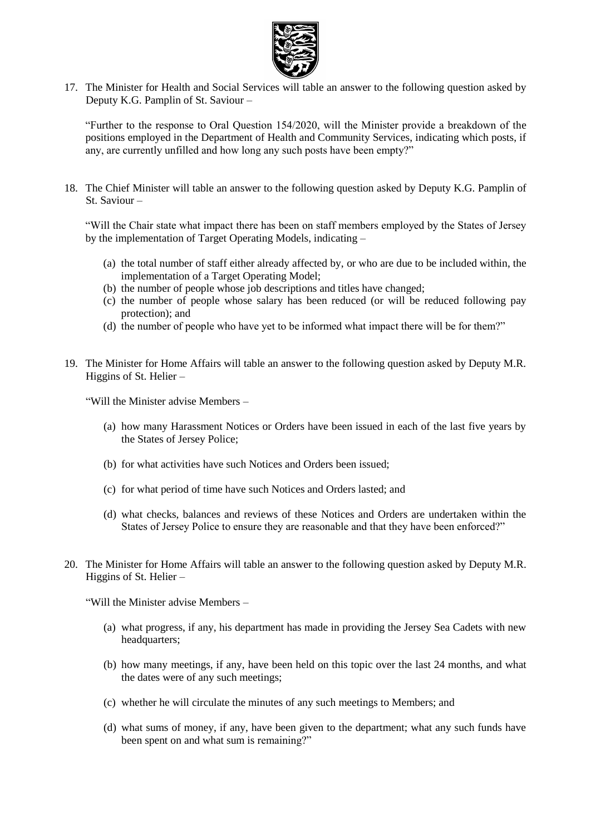

17. The Minister for Health and Social Services will table an answer to the following question asked by Deputy K.G. Pamplin of St. Saviour –

"Further to the response to Oral Question 154/2020, will the Minister provide a breakdown of the positions employed in the Department of Health and Community Services, indicating which posts, if any, are currently unfilled and how long any such posts have been empty?"

18. The Chief Minister will table an answer to the following question asked by Deputy K.G. Pamplin of St. Saviour –

"Will the Chair state what impact there has been on staff members employed by the States of Jersey by the implementation of Target Operating Models, indicating –

- (a) the total number of staff either already affected by, or who are due to be included within, the implementation of a Target Operating Model;
- (b) the number of people whose job descriptions and titles have changed;
- (c) the number of people whose salary has been reduced (or will be reduced following pay protection); and
- (d) the number of people who have yet to be informed what impact there will be for them?"
- 19. The Minister for Home Affairs will table an answer to the following question asked by Deputy M.R. Higgins of St. Helier –

"Will the Minister advise Members –

- (a) how many Harassment Notices or Orders have been issued in each of the last five years by the States of Jersey Police;
- (b) for what activities have such Notices and Orders been issued;
- (c) for what period of time have such Notices and Orders lasted; and
- (d) what checks, balances and reviews of these Notices and Orders are undertaken within the States of Jersey Police to ensure they are reasonable and that they have been enforced?"
- 20. The Minister for Home Affairs will table an answer to the following question asked by Deputy M.R. Higgins of St. Helier –

"Will the Minister advise Members –

- (a) what progress, if any, his department has made in providing the Jersey Sea Cadets with new headquarters;
- (b) how many meetings, if any, have been held on this topic over the last 24 months, and what the dates were of any such meetings;
- (c) whether he will circulate the minutes of any such meetings to Members; and
- (d) what sums of money, if any, have been given to the department; what any such funds have been spent on and what sum is remaining?"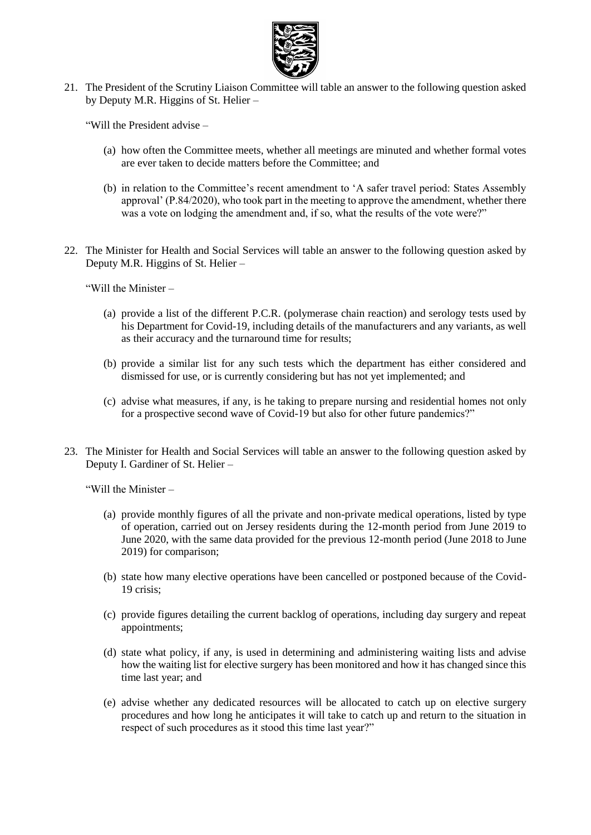

21. The President of the Scrutiny Liaison Committee will table an answer to the following question asked by Deputy M.R. Higgins of St. Helier –

"Will the President advise –

- (a) how often the Committee meets, whether all meetings are minuted and whether formal votes are ever taken to decide matters before the Committee; and
- (b) in relation to the Committee's recent amendment to 'A safer travel period: States Assembly approval' (P.84/2020), who took part in the meeting to approve the amendment, whether there was a vote on lodging the amendment and, if so, what the results of the vote were?"
- 22. The Minister for Health and Social Services will table an answer to the following question asked by Deputy M.R. Higgins of St. Helier –

"Will the Minister –

- (a) provide a list of the different P.C.R. (polymerase chain reaction) and serology tests used by his Department for Covid-19, including details of the manufacturers and any variants, as well as their accuracy and the turnaround time for results;
- (b) provide a similar list for any such tests which the department has either considered and dismissed for use, or is currently considering but has not yet implemented; and
- (c) advise what measures, if any, is he taking to prepare nursing and residential homes not only for a prospective second wave of Covid-19 but also for other future pandemics?"
- 23. The Minister for Health and Social Services will table an answer to the following question asked by Deputy I. Gardiner of St. Helier –

"Will the Minister –

- (a) provide monthly figures of all the private and non-private medical operations, listed by type of operation, carried out on Jersey residents during the 12-month period from June 2019 to June 2020, with the same data provided for the previous 12-month period (June 2018 to June 2019) for comparison;
- (b) state how many elective operations have been cancelled or postponed because of the Covid-19 crisis;
- (c) provide figures detailing the current backlog of operations, including day surgery and repeat appointments;
- (d) state what policy, if any, is used in determining and administering waiting lists and advise how the waiting list for elective surgery has been monitored and how it has changed since this time last year; and
- (e) advise whether any dedicated resources will be allocated to catch up on elective surgery procedures and how long he anticipates it will take to catch up and return to the situation in respect of such procedures as it stood this time last year?"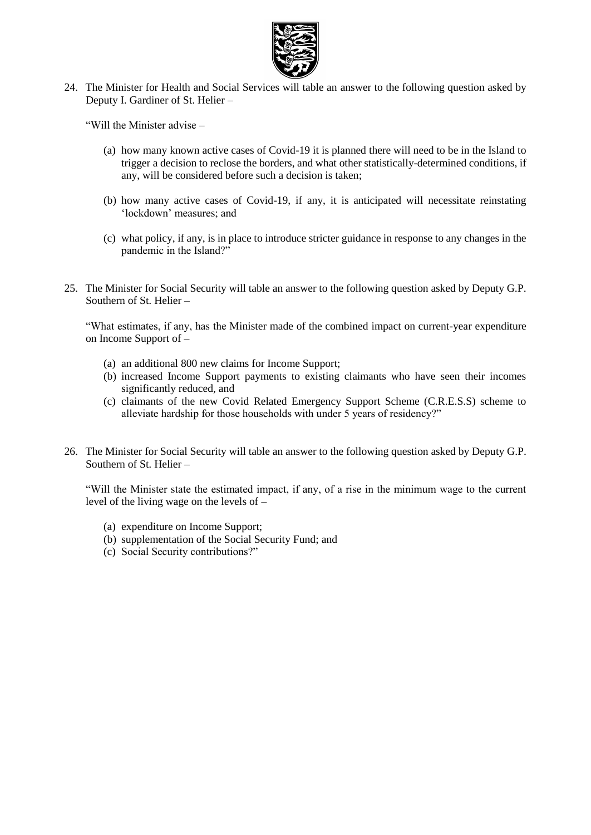

24. The Minister for Health and Social Services will table an answer to the following question asked by Deputy I. Gardiner of St. Helier –

"Will the Minister advise –

- (a) how many known active cases of Covid-19 it is planned there will need to be in the Island to trigger a decision to reclose the borders, and what other statistically-determined conditions, if any, will be considered before such a decision is taken;
- (b) how many active cases of Covid-19, if any, it is anticipated will necessitate reinstating 'lockdown' measures; and
- (c) what policy, if any, is in place to introduce stricter guidance in response to any changes in the pandemic in the Island?"
- 25. The Minister for Social Security will table an answer to the following question asked by Deputy G.P. Southern of St. Helier –

"What estimates, if any, has the Minister made of the combined impact on current-year expenditure on Income Support of –

- (a) an additional 800 new claims for Income Support;
- (b) increased Income Support payments to existing claimants who have seen their incomes significantly reduced, and
- (c) claimants of the new Covid Related Emergency Support Scheme (C.R.E.S.S) scheme to alleviate hardship for those households with under 5 years of residency?"
- 26. The Minister for Social Security will table an answer to the following question asked by Deputy G.P. Southern of St. Helier –

"Will the Minister state the estimated impact, if any, of a rise in the minimum wage to the current level of the living wage on the levels of –

- (a) expenditure on Income Support;
- (b) supplementation of the Social Security Fund; and
- (c) Social Security contributions?"